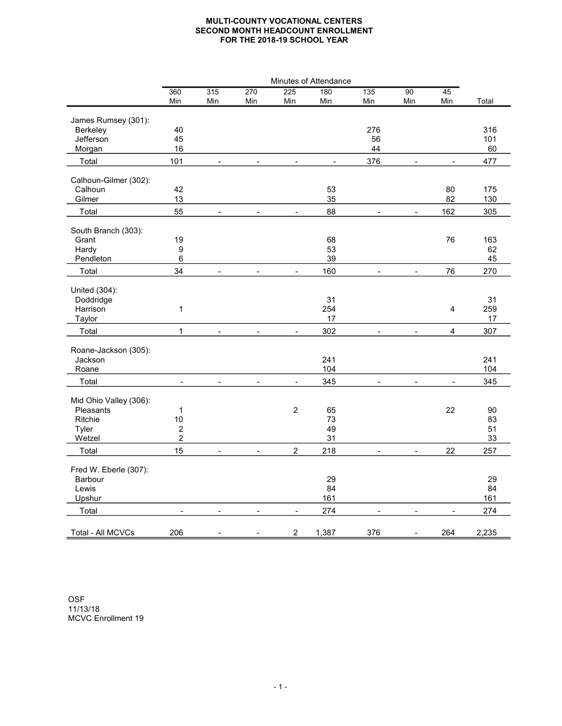## MULTI-COUNTY VOCATIONAL CENTERS SECOND MONTH HEADCOUNT ENROLLMENT FOR THE 2018-19 SCHOOL YEAR

|                        | Minutes of Attendance |                |                |                  |       |                |                 |                         |       |
|------------------------|-----------------------|----------------|----------------|------------------|-------|----------------|-----------------|-------------------------|-------|
|                        | 360                   | 315            | 270            | 225              | 180   | 135            | $\overline{90}$ | $\overline{45}$         |       |
|                        | Min                   | Min            | Min            | Min              | Min   | Min            | Min             | Min                     | Total |
| James Rumsey (301):    |                       |                |                |                  |       |                |                 |                         |       |
| Berkeley               | 40                    |                |                |                  |       | 276            |                 |                         | 316   |
| Jefferson              | 45                    |                |                |                  |       | 56             |                 |                         | 101   |
| Morgan                 | 16                    |                |                |                  |       | 44             |                 |                         | 60    |
| Total                  | 101                   |                |                |                  |       | 376            |                 |                         | 477   |
| Calhoun-Gilmer (302):  |                       |                |                |                  |       |                |                 |                         |       |
| Calhoun                | 42                    |                |                |                  | 53    |                |                 | 80                      | 175   |
| Gilmer                 | 13                    |                |                |                  | 35    |                |                 | 82                      | 130   |
|                        |                       |                |                |                  |       |                |                 |                         |       |
| Total                  | 55                    |                | $\equiv$       |                  | 88    | $\overline{a}$ | $\overline{a}$  | 162                     | 305   |
| South Branch (303):    |                       |                |                |                  |       |                |                 |                         |       |
| Grant                  | 19                    |                |                |                  | 68    |                |                 | 76                      | 163   |
| Hardy                  | 9                     |                |                |                  | 53    |                |                 |                         | 62    |
| Pendleton              | 6                     |                |                |                  | 39    |                |                 |                         | 45    |
| Total                  | 34                    | $\blacksquare$ | $\blacksquare$ | $\blacksquare$   | 160   | $\blacksquare$ | $\blacksquare$  | 76                      | 270   |
|                        |                       |                |                |                  |       |                |                 |                         |       |
| United (304):          |                       |                |                |                  |       |                |                 |                         |       |
| Doddridge              |                       |                |                |                  | 31    |                |                 |                         | 31    |
| Harrison               | $\mathbf{1}$          |                |                |                  | 254   |                |                 | 4                       | 259   |
| Taylor                 |                       |                |                |                  | 17    |                |                 |                         | 17    |
| Total                  | $\mathbf{1}$          | $\sim$         | $\overline{a}$ | $\blacksquare$   | 302   | $\blacksquare$ | $\sim$          | $\overline{\mathbf{4}}$ | 307   |
| Roane-Jackson (305):   |                       |                |                |                  |       |                |                 |                         |       |
| Jackson                |                       |                |                |                  | 241   |                |                 |                         | 241   |
| Roane                  |                       |                |                |                  | 104   |                |                 |                         | 104   |
| Total                  | $\mathbf{r}$          | $\overline{a}$ | $\mathbf{r}$   | $\overline{a}$   | 345   | $\blacksquare$ | $\sim$          |                         | 345   |
|                        |                       |                |                |                  |       |                |                 |                         |       |
| Mid Ohio Valley (306): |                       |                |                |                  |       |                |                 |                         |       |
| Pleasants              | 1                     |                |                | $\overline{2}$   | 65    |                |                 | 22                      | 90    |
| Ritchie                | 10                    |                |                |                  | 73    |                |                 |                         | 83    |
| Tyler                  | 2                     |                |                |                  | 49    |                |                 |                         | 51    |
| Wetzel                 | $\overline{c}$        |                |                |                  | 31    |                |                 |                         | 33    |
| Total                  | 15                    | $\overline{a}$ | $\overline{a}$ | 2                | 218   | $\overline{a}$ | $\overline{a}$  | 22                      | 257   |
| Fred W. Eberle (307):  |                       |                |                |                  |       |                |                 |                         |       |
| Barbour                |                       |                |                |                  | 29    |                |                 |                         | 29    |
| Lewis                  |                       |                |                |                  | 84    |                |                 |                         | 84    |
|                        |                       |                |                |                  |       |                |                 |                         |       |
| Upshur                 |                       |                |                |                  | 161   |                |                 |                         | 161   |
| Total                  | $\blacksquare$        | $\blacksquare$ | $\blacksquare$ | $\blacksquare$   | 274   | $\blacksquare$ | $\blacksquare$  | $\blacksquare$          | 274   |
|                        |                       |                |                |                  |       |                |                 |                         |       |
| Total - All MCVCs      | 206                   |                |                | $\boldsymbol{2}$ | 1,387 | 376            |                 | 264                     | 2,235 |

OSF 11/13/18 MCVC Enrollment 19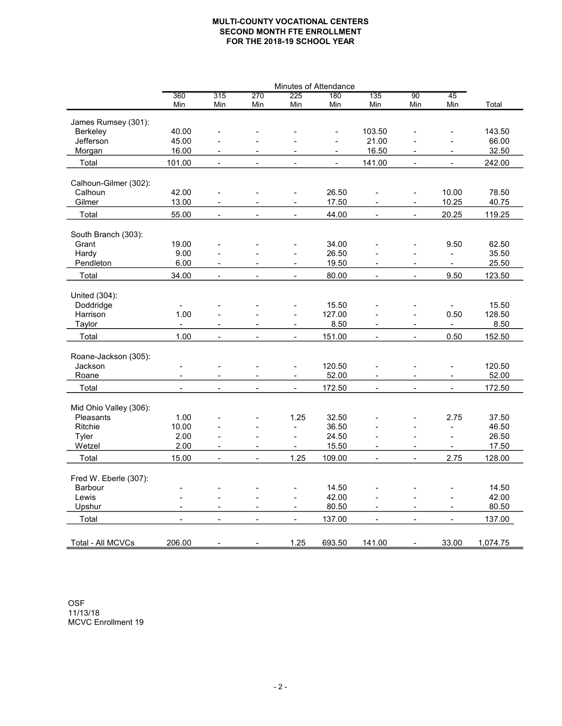## MULTI-COUNTY VOCATIONAL CENTERS SECOND MONTH FTE ENROLLMENT FOR THE 2018-19 SCHOOL YEAR

|                        |                |                              |                          |                          | Minutes of Attendance |                |                          |                |          |
|------------------------|----------------|------------------------------|--------------------------|--------------------------|-----------------------|----------------|--------------------------|----------------|----------|
|                        | 360            | 315                          | 270                      | 225                      | 180                   | 135            | $\overline{90}$          | 45             |          |
|                        | Min            | Min                          | Min                      | Min                      | Min                   | Min            | Min                      | Min            | Total    |
| James Rumsey (301):    |                |                              |                          |                          |                       |                |                          |                |          |
| Berkeley               | 40.00          |                              |                          |                          |                       | 103.50         |                          |                | 143.50   |
| Jefferson              | 45.00          | $\overline{a}$               |                          |                          | ÷,                    | 21.00          | $\overline{\phantom{0}}$ | $\blacksquare$ | 66.00    |
| Morgan                 | 16.00          |                              |                          |                          |                       | 16.50          |                          |                | 32.50    |
| Total                  | 101.00         | $\overline{\phantom{a}}$     |                          | $\overline{a}$           | $\blacksquare$        | 141.00         | $\overline{a}$           | $\blacksquare$ | 242.00   |
|                        |                |                              |                          |                          |                       |                |                          |                |          |
| Calhoun-Gilmer (302):  |                |                              |                          |                          |                       |                |                          |                |          |
| Calhoun                | 42.00          | $\blacksquare$               | $\blacksquare$           | $\blacksquare$           | 26.50                 | $\blacksquare$ | $\blacksquare$           | 10.00          | 78.50    |
| Gilmer                 | 13.00          | $\overline{a}$               | $\sim$                   | $\overline{a}$           | 17.50                 | $\blacksquare$ | $\blacksquare$           | 10.25          | 40.75    |
| Total                  | 55.00          | $\frac{1}{2}$                | $\blacksquare$           | $\overline{a}$           | 44.00                 | $\blacksquare$ | $\blacksquare$           | 20.25          | 119.25   |
| South Branch (303):    |                |                              |                          |                          |                       |                |                          |                |          |
| Grant                  | 19.00          |                              |                          |                          | 34.00                 |                |                          | 9.50           | 62.50    |
| Hardy                  | 9.00           |                              |                          |                          | 26.50                 |                |                          | $\blacksquare$ | 35.50    |
| Pendleton              | 6.00           | $\frac{1}{2}$                | $\blacksquare$           | $\blacksquare$           | 19.50                 | $\blacksquare$ | $\blacksquare$           | $\blacksquare$ | 25.50    |
| Total                  | 34.00          | $\blacksquare$               | $\blacksquare$           | $\blacksquare$           | 80.00                 | $\blacksquare$ | $\blacksquare$           | 9.50           | 123.50   |
|                        |                |                              |                          |                          |                       |                |                          |                |          |
| United (304):          |                |                              |                          |                          |                       |                |                          |                |          |
| Doddridge              |                |                              |                          |                          | 15.50                 |                |                          |                | 15.50    |
| Harrison               | 1.00           |                              |                          | $\overline{a}$           | 127.00                |                | $\overline{a}$           | 0.50           | 128.50   |
| Taylor                 | $\overline{a}$ | L.                           | $\overline{a}$           | $\overline{a}$           | 8.50                  |                | $\overline{a}$           | $\blacksquare$ | 8.50     |
| Total                  | 1.00           | $\overline{a}$               | $\overline{a}$           | $\blacksquare$           | 151.00                | $\overline{a}$ | $\overline{a}$           | 0.50           | 152.50   |
|                        |                |                              |                          |                          |                       |                |                          |                |          |
| Roane-Jackson (305):   |                |                              |                          |                          |                       |                |                          |                |          |
| Jackson                |                |                              |                          | $\overline{a}$           | 120.50                |                |                          |                | 120.50   |
| Roane                  |                |                              | $\blacksquare$           | $\blacksquare$           | 52.00                 |                | $\blacksquare$           | $\blacksquare$ | 52.00    |
| Total                  |                |                              | $\blacksquare$           | $\blacksquare$           | 172.50                | $\blacksquare$ | $\blacksquare$           | $\blacksquare$ | 172.50   |
| Mid Ohio Valley (306): |                |                              |                          |                          |                       |                |                          |                |          |
| Pleasants              | 1.00           |                              |                          | 1.25                     | 32.50                 |                |                          | 2.75           | 37.50    |
| Ritchie                | 10.00          |                              |                          | $\blacksquare$           | 36.50                 |                | $\blacksquare$           | ÷,             | 46.50    |
| Tyler                  | 2.00           | $\overline{a}$               | ÷                        | $\overline{a}$           | 24.50                 |                | $\overline{a}$           | $\sim$         | 26.50    |
| Wetzel                 | 2.00           | $\qquad \qquad \blacksquare$ | $\overline{\phantom{a}}$ | $\blacksquare$           | 15.50                 | $\blacksquare$ | $\overline{\phantom{a}}$ | $\blacksquare$ | 17.50    |
|                        | 15.00          |                              |                          | 1.25                     | 109.00                |                |                          | 2.75           | 128.00   |
| Total                  |                | $\blacksquare$               | $\blacksquare$           |                          |                       | $\blacksquare$ | $\blacksquare$           |                |          |
| Fred W. Eberle (307):  |                |                              |                          |                          |                       |                |                          |                |          |
| Barbour                |                |                              |                          |                          | 14.50                 |                |                          |                | 14.50    |
| Lewis                  |                |                              |                          | $\overline{\phantom{a}}$ | 42.00                 |                |                          | $\blacksquare$ | 42.00    |
| Upshur                 |                |                              |                          |                          | 80.50                 |                |                          |                | 80.50    |
| Total                  |                |                              |                          | $\overline{\phantom{a}}$ | 137.00                | Ĭ.             | $\blacksquare$           | $\overline{a}$ | 137.00   |
|                        |                |                              |                          |                          |                       |                |                          |                |          |
| Total - All MCVCs      | 206.00         |                              |                          | 1.25                     | 693.50                | 141.00         |                          | 33.00          | 1,074.75 |
|                        |                |                              |                          |                          |                       |                |                          |                |          |

OSF 11/13/18 MCVC Enrollment 19